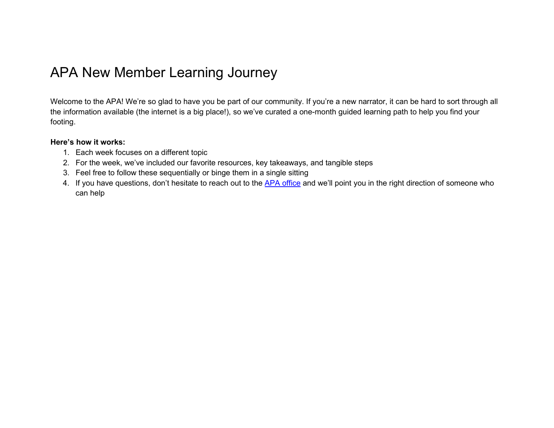# APA New Member Learning Journey

Welcome to the APA! We're so glad to have you be part of our community. If you're a new narrator, it can be hard to sort through all the information available (the internet is a big place!), so we've curated a one-month guided learning path to help you find your footing.

#### **Here's how it works:**

- 1. Each week focuses on a different topic
- 2. For the week, we've included our favorite resources, key takeaways, and tangible steps
- 3. Feel free to follow these sequentially or binge them in a single sitting
- 4. If you have questions, don't hesitate to reach out to the APA [office](mailto:info@audiopub.org) and we'll point you in the right direction of someone who can help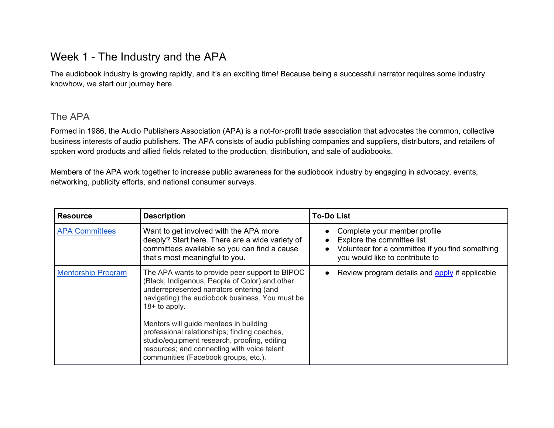### Week 1 - The Industry and the APA

The audiobook industry is growing rapidly, and it's an exciting time! Because being a successful narrator requires some industry knowhow, we start our journey here.

#### The APA

Formed in 1986, the Audio Publishers Association (APA) is a not-for-profit trade association that advocates the common, collective business interests of audio publishers. The APA consists of audio publishing companies and suppliers, distributors, and retailers of spoken word products and allied fields related to the production, distribution, and sale of audiobooks.

Members of the APA work together to increase public awareness for the audiobook industry by engaging in advocacy, events, networking, publicity efforts, and national consumer surveys.

| <b>Resource</b>           | <b>Description</b>                                                                                                                                                                                                                                                                                                                                                                                                                                  | <b>To-Do List</b>                                                                                                                                |
|---------------------------|-----------------------------------------------------------------------------------------------------------------------------------------------------------------------------------------------------------------------------------------------------------------------------------------------------------------------------------------------------------------------------------------------------------------------------------------------------|--------------------------------------------------------------------------------------------------------------------------------------------------|
| <b>APA Committees</b>     | Want to get involved with the APA more<br>deeply? Start here. There are a wide variety of<br>committees available so you can find a cause<br>that's most meaningful to you.                                                                                                                                                                                                                                                                         | Complete your member profile<br>Explore the committee list<br>Volunteer for a committee if you find something<br>you would like to contribute to |
| <b>Mentorship Program</b> | The APA wants to provide peer support to BIPOC<br>(Black, Indigenous, People of Color) and other<br>underrepresented narrators entering (and<br>navigating) the audiobook business. You must be<br>$18+$ to apply.<br>Mentors will guide mentees in building<br>professional relationships; finding coaches,<br>studio/equipment research, proofing, editing<br>resources; and connecting with voice talent<br>communities (Facebook groups, etc.). | Review program details and apply if applicable                                                                                                   |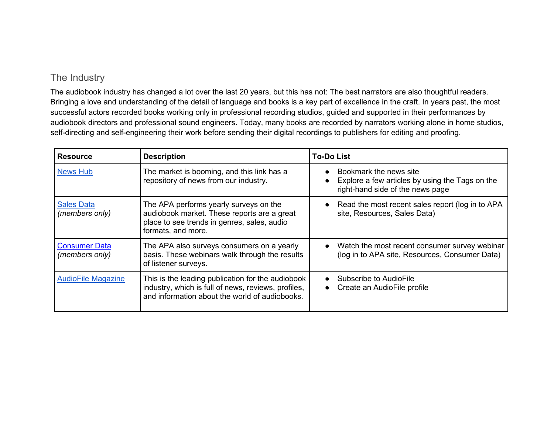#### The Industry

The audiobook industry has changed a lot over the last 20 years, but this has not: The best narrators are also thoughtful readers. Bringing a love and understanding of the detail of language and books is a key part of excellence in the craft. In years past, the most successful actors recorded books working only in professional recording studios, guided and supported in their performances by audiobook directors and professional sound engineers. Today, many books are recorded by narrators working alone in home studios, self-directing and self-engineering their work before sending their digital recordings to publishers for editing and proofing.

| <b>Resource</b>                        | <b>Description</b>                                                                                                                                         | <b>To-Do List</b>                                                                                             |
|----------------------------------------|------------------------------------------------------------------------------------------------------------------------------------------------------------|---------------------------------------------------------------------------------------------------------------|
| <b>News Hub</b>                        | The market is booming, and this link has a<br>repository of news from our industry.                                                                        | Bookmark the news site<br>Explore a few articles by using the Tags on the<br>right-hand side of the news page |
| <b>Sales Data</b><br>(members only)    | The APA performs yearly surveys on the<br>audiobook market. These reports are a great<br>place to see trends in genres, sales, audio<br>formats, and more. | Read the most recent sales report (log in to APA<br>site, Resources, Sales Data)                              |
| <b>Consumer Data</b><br>(members only) | The APA also surveys consumers on a yearly<br>basis. These webinars walk through the results<br>of listener surveys.                                       | Watch the most recent consumer survey webinar<br>(log in to APA site, Resources, Consumer Data)               |
| <b>AudioFile Magazine</b>              | This is the leading publication for the audiobook<br>industry, which is full of news, reviews, profiles,<br>and information about the world of audiobooks. | Subscribe to AudioFile<br>Create an AudioFile profile<br>$\bullet$                                            |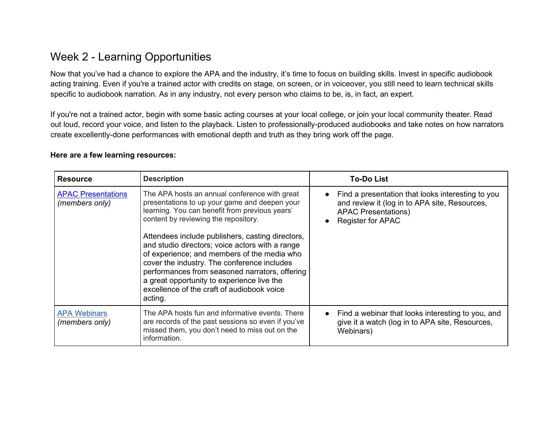## Week 2 - Learning Opportunities

Now that you've had a chance to explore the APA and the industry, it's time to focus on building skills. Invest in specific audiobook acting training. Even if you're a trained actor with credits on stage, on screen, or in voiceover, you still need to learn technical skills specific to audiobook narration. As in any industry, not every person who claims to be, is, in fact, an expert.

If you're not a trained actor, begin with some basic acting courses at your local college, or join your local community theater. Read out loud, record your voice, and listen to the playback. Listen to professionally-produced audiobooks and take notes on how narrators create excellently-done performances with emotional depth and truth as they bring work off the page.

#### **Here are a few learning resources:**

| <b>Resource</b>                             | <b>Description</b>                                                                                                                                                                                                                                                                                                                                                                                                                                                                                                                                     | <b>To-Do List</b>                                                                                                                                            |
|---------------------------------------------|--------------------------------------------------------------------------------------------------------------------------------------------------------------------------------------------------------------------------------------------------------------------------------------------------------------------------------------------------------------------------------------------------------------------------------------------------------------------------------------------------------------------------------------------------------|--------------------------------------------------------------------------------------------------------------------------------------------------------------|
| <b>APAC Presentations</b><br>(members only) | The APA hosts an annual conference with great<br>presentations to up your game and deepen your<br>learning. You can benefit from previous years'<br>content by reviewing the repository.<br>Attendees include publishers, casting directors,<br>and studio directors; voice actors with a range<br>of experience; and members of the media who<br>cover the industry. The conference includes<br>performances from seasoned narrators, offering<br>a great opportunity to experience live the<br>excellence of the craft of audiobook voice<br>acting. | Find a presentation that looks interesting to you<br>and review it (log in to APA site, Resources,<br><b>APAC Presentations)</b><br><b>Register for APAC</b> |
| <b>APA Webinars</b><br>(members only)       | The APA hosts fun and informative events. There<br>are records of the past sessions so even if you've<br>missed them, you don't need to miss out on the<br>information.                                                                                                                                                                                                                                                                                                                                                                                | Find a webinar that looks interesting to you, and<br>give it a watch (log in to APA site, Resources,<br>Webinars)                                            |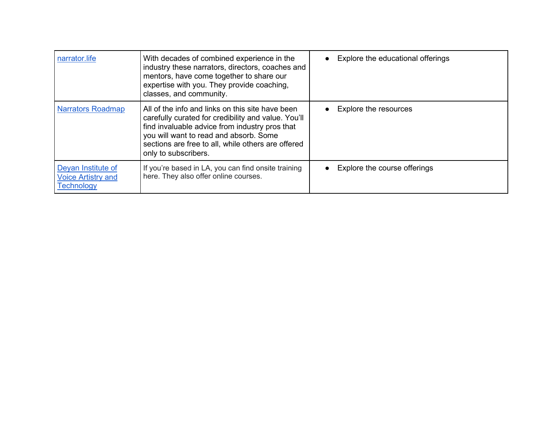| narrator.life                                                        | With decades of combined experience in the<br>industry these narrators, directors, coaches and<br>mentors, have come together to share our<br>expertise with you. They provide coaching,<br>classes, and community.                                                               | Explore the educational offerings |
|----------------------------------------------------------------------|-----------------------------------------------------------------------------------------------------------------------------------------------------------------------------------------------------------------------------------------------------------------------------------|-----------------------------------|
| <b>Narrators Roadmap</b>                                             | All of the info and links on this site have been<br>carefully curated for credibility and value. You'll<br>find invaluable advice from industry pros that<br>you will want to read and absorb. Some<br>sections are free to all, while others are offered<br>only to subscribers. | <b>Explore the resources</b>      |
| Deyan Institute of<br><b>Voice Artistry and</b><br><b>Technology</b> | If you're based in LA, you can find onsite training<br>here. They also offer online courses.                                                                                                                                                                                      | Explore the course offerings      |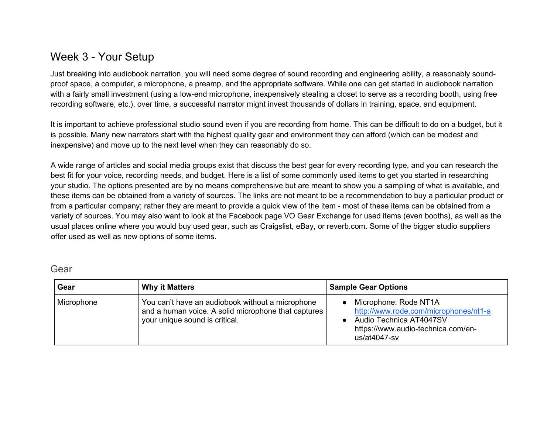### Week 3 - Your Setup

Just breaking into audiobook narration, you will need some degree of sound recording and engineering ability, a reasonably soundproof space, a computer, a microphone, a preamp, and the appropriate software. While one can get started in audiobook narration with a fairly small investment (using a low-end microphone, inexpensively stealing a closet to serve as a recording booth, using free recording software, etc.), over time, a successful narrator might invest thousands of dollars in training, space, and equipment.

It is important to achieve professional studio sound even if you are recording from home. This can be difficult to do on a budget, but it is possible. Many new narrators start with the highest quality gear and environment they can afford (which can be modest and inexpensive) and move up to the next level when they can reasonably do so.

A wide range of articles and social media groups exist that discuss the best gear for every recording type, and you can research the best fit for your voice, recording needs, and budget. Here is a list of some commonly used items to get you started in researching your studio. The options presented are by no means comprehensive but are meant to show you a sampling of what is available, and these items can be obtained from a variety of sources. The links are not meant to be a recommendation to buy a particular product or from a particular company; rather they are meant to provide a quick view of the item - most of these items can be obtained from a variety of sources. You may also want to look at the Facebook page VO Gear Exchange for used items (even booths), as well as the usual places online where you would buy used gear, such as Craigslist, eBay, or reverb.com. Some of the bigger studio suppliers offer used as well as new options of some items.

| Gear       | <b>Why it Matters</b>                                                                                                                     | <b>Sample Gear Options</b>                                                                                                                          |
|------------|-------------------------------------------------------------------------------------------------------------------------------------------|-----------------------------------------------------------------------------------------------------------------------------------------------------|
| Microphone | You can't have an audiobook without a microphone<br>and a human voice. A solid microphone that captures<br>your unique sound is critical. | Microphone: Rode NT1A<br>http://www.rode.com/microphones/nt1-a<br>Audio Technica AT4047SV<br>https://www.audio-technica.com/en-<br>us/at $4047$ -sv |

Gear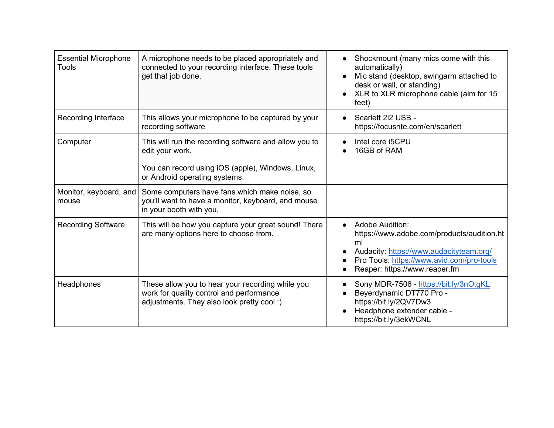| <b>Essential Microphone</b><br>Tools | A microphone needs to be placed appropriately and<br>connected to your recording interface. These tools<br>get that job done.                                  | Shockmount (many mics come with this<br>automatically)<br>Mic stand (desktop, swingarm attached to<br>desk or wall, or standing)<br>XLR to XLR microphone cable (aim for 15<br>feet)         |
|--------------------------------------|----------------------------------------------------------------------------------------------------------------------------------------------------------------|----------------------------------------------------------------------------------------------------------------------------------------------------------------------------------------------|
| Recording Interface                  | This allows your microphone to be captured by your<br>recording software                                                                                       | Scarlett 2i2 USB -<br>https://focusrite.com/en/scarlett                                                                                                                                      |
| Computer                             | This will run the recording software and allow you to<br>edit your work.<br>You can record using iOS (apple), Windows, Linux,<br>or Android operating systems. | Intel core i5CPU<br>16GB of RAM                                                                                                                                                              |
| Monitor, keyboard, and<br>mouse      | Some computers have fans which make noise, so<br>you'll want to have a monitor, keyboard, and mouse<br>in your booth with you.                                 |                                                                                                                                                                                              |
| <b>Recording Software</b>            | This will be how you capture your great sound! There<br>are many options here to choose from.                                                                  | Adobe Audition:<br>https://www.adobe.com/products/audition.ht<br>ml<br>Audacity: https://www.audacityteam.org/<br>Pro Tools: https://www.avid.com/pro-tools<br>Reaper: https://www.reaper.fm |
| Headphones                           | These allow you to hear your recording while you<br>work for quality control and performance<br>adjustments. They also look pretty cool:)                      | Sony MDR-7506 - https://bit.ly/3nOtgKL<br>Beyerdynamic DT770 Pro -<br>https://bit.ly/2QV7Dw3<br>Headphone extender cable -<br>https://bit.ly/3ekWCNL                                         |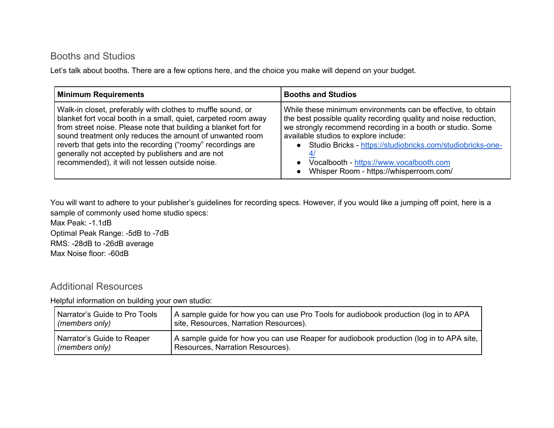#### Booths and Studios

Let's talk about booths. There are a few options here, and the choice you make will depend on your budget.

| <b>Minimum Requirements</b>                                     | <b>Booths and Studios</b>                                        |
|-----------------------------------------------------------------|------------------------------------------------------------------|
| Walk-in closet, preferably with clothes to muffle sound, or     | While these minimum environments can be effective, to obtain     |
| blanket fort vocal booth in a small, quiet, carpeted room away  | the best possible quality recording quality and noise reduction, |
| from street noise. Please note that building a blanket fort for | we strongly recommend recording in a booth or studio. Some       |
| sound treatment only reduces the amount of unwanted room        | available studios to explore include:                            |
| reverb that gets into the recording ("roomy" recordings are     | Studio Bricks - https://studiobricks.com/studiobricks-one-       |
| generally not accepted by publishers and are not                | Vocalbooth - https://www.vocalbooth.com                          |
| recommended), it will not lessen outside noise.                 | Whisper Room - https://whisperroom.com/                          |

You will want to adhere to your publisher's guidelines for recording specs. However, if you would like a jumping off point, here is a sample of commonly used home studio specs:

Max Peak: -1.1dB Optimal Peak Range: -5dB to -7dB RMS: -28dB to -26dB average Max Noise floor: -60dB

#### Additional Resources

Helpful information on building your own studio:

| Narrator's Guide to Pro Tools | A sample guide for how you can use Pro Tools for audiobook production (log in to APA    |
|-------------------------------|-----------------------------------------------------------------------------------------|
| (members only)                | site, Resources, Narration Resources).                                                  |
| Narrator's Guide to Reaper    | A sample guide for how you can use Reaper for audiobook production (log in to APA site, |
| (members only)                | Resources, Narration Resources).                                                        |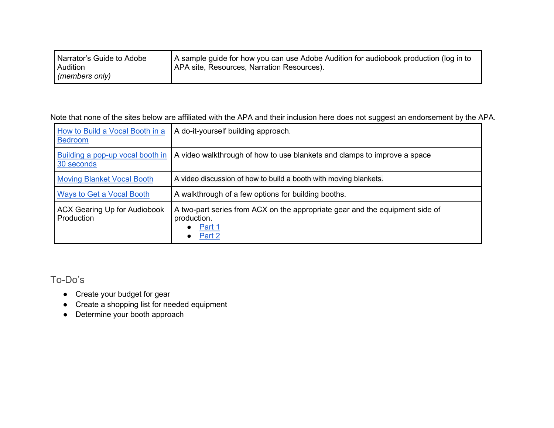| Narrator's Guide to Adobe | A sample guide for how you can use Adobe Audition for audiobook production (log in to |
|---------------------------|---------------------------------------------------------------------------------------|
| <b>Audition</b>           | APA site, Resources, Narration Resources).                                            |
| (members only)            |                                                                                       |

Note that none of the sites below are affiliated with the APA and their inclusion here does not suggest an endorsement by the APA.

| How to Build a Vocal Booth in a<br><b>Bedroom</b> | A do-it-yourself building approach.                                                                                       |
|---------------------------------------------------|---------------------------------------------------------------------------------------------------------------------------|
| Building a pop-up vocal booth in<br>30 seconds    | A video walkthrough of how to use blankets and clamps to improve a space                                                  |
| <b>Moving Blanket Vocal Booth</b>                 | A video discussion of how to build a booth with moving blankets.                                                          |
| <b>Ways to Get a Vocal Booth</b>                  | A walkthrough of a few options for building booths.                                                                       |
| <b>ACX Gearing Up for Audiobook</b><br>Production | A two-part series from ACX on the appropriate gear and the equipment side of<br>production.<br>$\bullet$ Part 1<br>Part 2 |

To-Do's

- Create your budget for gear
- Create a shopping list for needed equipment
- Determine your booth approach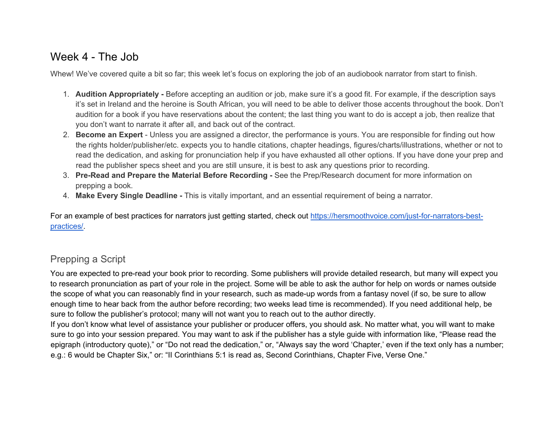### Week 4 - The Job

Whew! We've covered quite a bit so far; this week let's focus on exploring the job of an audiobook narrator from start to finish.

- 1. **Audition Appropriately** Before accepting an audition or job, make sure it's a good fit. For example, if the description says it's set in Ireland and the heroine is South African, you will need to be able to deliver those accents throughout the book. Don't audition for a book if you have reservations about the content; the last thing you want to do is accept a job, then realize that you don't want to narrate it after all, and back out of the contract.
- 2. **Become an Expert** Unless you are assigned a director, the performance is yours. You are responsible for finding out how the rights holder/publisher/etc. expects you to handle citations, chapter headings, figures/charts/illustrations, whether or not to read the dedication, and asking for pronunciation help if you have exhausted all other options. If you have done your prep and read the publisher specs sheet and you are still unsure, it is best to ask any questions prior to recording.
- 3. **Pre-Read and Prepare the Material Before Recording** See the Prep/Research document for more information on prepping a book.
- 4. **Make Every Single Deadline** This is vitally important, and an essential requirement of being a narrator.

For an example of best practices for narrators just getting started, check out [https://hersmoothvoice.com/just-for-narrators-best](https://hersmoothvoice.com/just-for-narrators-best-practices/)[practices/.](https://hersmoothvoice.com/just-for-narrators-best-practices/)

### Prepping a Script

You are expected to pre-read your book prior to recording. Some publishers will provide detailed research, but many will expect you to research pronunciation as part of your role in the project. Some will be able to ask the author for help on words or names outside the scope of what you can reasonably find in your research, such as made-up words from a fantasy novel (if so, be sure to allow enough time to hear back from the author before recording; two weeks lead time is recommended). If you need additional help, be sure to follow the publisher's protocol; many will not want you to reach out to the author directly.

If you don't know what level of assistance your publisher or producer offers, you should ask. No matter what, you will want to make sure to go into your session prepared. You may want to ask if the publisher has a style guide with information like, "Please read the epigraph (introductory quote)," or "Do not read the dedication," or, "Always say the word 'Chapter,' even if the text only has a number; e.g.: 6 would be Chapter Six," or: "II Corinthians 5:1 is read as, Second Corinthians, Chapter Five, Verse One."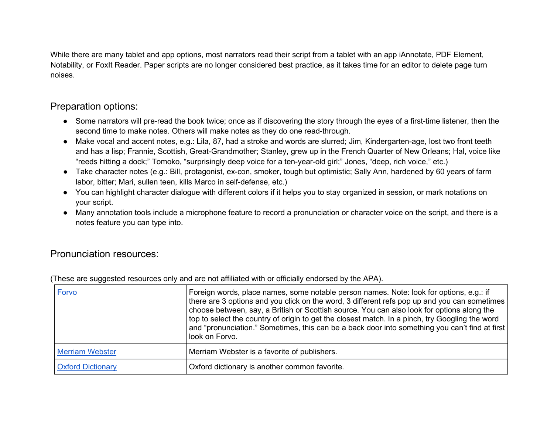While there are many tablet and app options, most narrators read their script from a tablet with an app iAnnotate, PDF Element, Notability, or FoxIt Reader. Paper scripts are no longer considered best practice, as it takes time for an editor to delete page turn noises.

#### Preparation options:

- Some narrators will pre-read the book twice; once as if discovering the story through the eyes of a first-time listener, then the second time to make notes. Others will make notes as they do one read-through.
- Make vocal and accent notes, e.g.: Lila, 87, had a stroke and words are slurred; Jim, Kindergarten-age, lost two front teeth and has a lisp; Frannie, Scottish, Great-Grandmother; Stanley, grew up in the French Quarter of New Orleans; Hal, voice like "reeds hitting a dock;" Tomoko, "surprisingly deep voice for a ten-year-old girl;" Jones, "deep, rich voice," etc.)
- Take character notes (e.g.: Bill, protagonist, ex-con, smoker, tough but optimistic; Sally Ann, hardened by 60 years of farm labor, bitter; Mari, sullen teen, kills Marco in self-defense, etc.)
- You can highlight character dialogue with different colors if it helps you to stay organized in session, or mark notations on your script.
- Many annotation tools include a microphone feature to record a pronunciation or character voice on the script, and there is a notes feature you can type into.

#### Pronunciation resources:

| Forvo                    | Foreign words, place names, some notable person names. Note: look for options, e.g.: if<br>there are 3 options and you click on the word, 3 different refs pop up and you can sometimes<br>choose between, say, a British or Scottish source. You can also look for options along the<br>top to select the country of origin to get the closest match. In a pinch, try Googling the word<br>and "pronunciation." Sometimes, this can be a back door into something you can't find at first<br>look on Forvo. |
|--------------------------|--------------------------------------------------------------------------------------------------------------------------------------------------------------------------------------------------------------------------------------------------------------------------------------------------------------------------------------------------------------------------------------------------------------------------------------------------------------------------------------------------------------|
| <b>Merriam Webster</b>   | Merriam Webster is a favorite of publishers.                                                                                                                                                                                                                                                                                                                                                                                                                                                                 |
| <b>Oxford Dictionary</b> | Oxford dictionary is another common favorite.                                                                                                                                                                                                                                                                                                                                                                                                                                                                |

(These are suggested resources only and are not affiliated with or officially endorsed by the APA).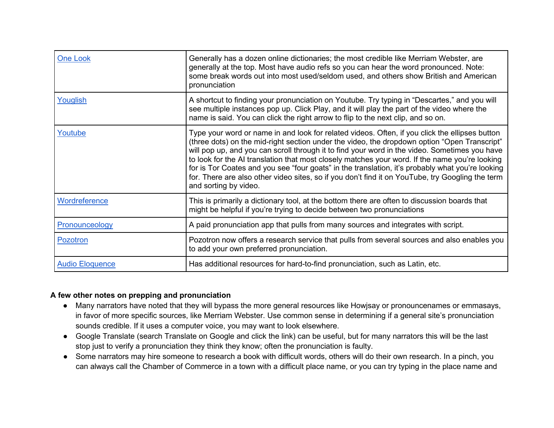| <b>One Look</b>        | Generally has a dozen online dictionaries; the most credible like Merriam Webster, are<br>generally at the top. Most have audio refs so you can hear the word pronounced. Note:<br>some break words out into most used/seldom used, and others show British and American<br>pronunciation                                                                                                                                                                                                                                                                                                                                          |
|------------------------|------------------------------------------------------------------------------------------------------------------------------------------------------------------------------------------------------------------------------------------------------------------------------------------------------------------------------------------------------------------------------------------------------------------------------------------------------------------------------------------------------------------------------------------------------------------------------------------------------------------------------------|
| Youglish               | A shortcut to finding your pronunciation on Youtube. Try typing in "Descartes," and you will<br>see multiple instances pop up. Click Play, and it will play the part of the video where the<br>name is said. You can click the right arrow to flip to the next clip, and so on.                                                                                                                                                                                                                                                                                                                                                    |
| Youtube                | Type your word or name in and look for related videos. Often, if you click the ellipses button<br>(three dots) on the mid-right section under the video, the dropdown option "Open Transcript"<br>will pop up, and you can scroll through it to find your word in the video. Sometimes you have<br>to look for the AI translation that most closely matches your word. If the name you're looking<br>for is Tor Coates and you see "four goats" in the translation, it's probably what you're looking<br>for. There are also other video sites, so if you don't find it on YouTube, try Googling the term<br>and sorting by video. |
| Wordreference          | This is primarily a dictionary tool, at the bottom there are often to discussion boards that<br>might be helpful if you're trying to decide between two pronunciations                                                                                                                                                                                                                                                                                                                                                                                                                                                             |
| Pronounceology         | A paid pronunciation app that pulls from many sources and integrates with script.                                                                                                                                                                                                                                                                                                                                                                                                                                                                                                                                                  |
| Pozotron               | Pozotron now offers a research service that pulls from several sources and also enables you<br>to add your own preferred pronunciation.                                                                                                                                                                                                                                                                                                                                                                                                                                                                                            |
| <b>Audio Eloquence</b> | Has additional resources for hard-to-find pronunciation, such as Latin, etc.                                                                                                                                                                                                                                                                                                                                                                                                                                                                                                                                                       |

#### **A few other notes on prepping and pronunciation**

- Many narrators have noted that they will bypass the more general resources like Howjsay or pronouncenames or emmasays, in favor of more specific sources, like Merriam Webster. Use common sense in determining if a general site's pronunciation sounds credible. If it uses a computer voice, you may want to look elsewhere.
- Google Translate (search Translate on Google and click the link) can be useful, but for many narrators this will be the last stop just to verify a pronunciation they think they know; often the pronunciation is faulty.
- Some narrators may hire someone to research a book with difficult words, others will do their own research. In a pinch, you can always call the Chamber of Commerce in a town with a difficult place name, or you can try typing in the place name and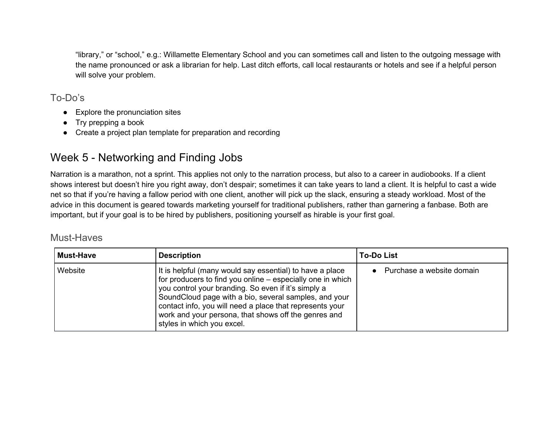"library," or "school," e.g.: Willamette Elementary School and you can sometimes call and listen to the outgoing message with the name pronounced or ask a librarian for help. Last ditch efforts, call local restaurants or hotels and see if a helpful person will solve your problem.

### To-Do's

- Explore the pronunciation sites
- Try prepping a book
- Create a project plan template for preparation and recording

## Week 5 - Networking and Finding Jobs

Narration is a marathon, not a sprint. This applies not only to the narration process, but also to a career in audiobooks. If a client shows interest but doesn't hire you right away, don't despair; sometimes it can take years to land a client. It is helpful to cast a wide net so that if you're having a fallow period with one client, another will pick up the slack, ensuring a steady workload. Most of the advice in this document is geared towards marketing yourself for traditional publishers, rather than garnering a fanbase. Both are important, but if your goal is to be hired by publishers, positioning yourself as hirable is your first goal.

| <b>Must-Have</b> | <b>Description</b>                                                                                                                                                                                                                                                                                                                                                                       | <b>To-Do List</b>         |
|------------------|------------------------------------------------------------------------------------------------------------------------------------------------------------------------------------------------------------------------------------------------------------------------------------------------------------------------------------------------------------------------------------------|---------------------------|
| Website          | It is helpful (many would say essential) to have a place<br>for producers to find you online – especially one in which<br>you control your branding. So even if it's simply a<br>SoundCloud page with a bio, several samples, and your<br>contact info, you will need a place that represents your<br>work and your persona, that shows off the genres and<br>styles in which you excel. | Purchase a website domain |

### Must-Haves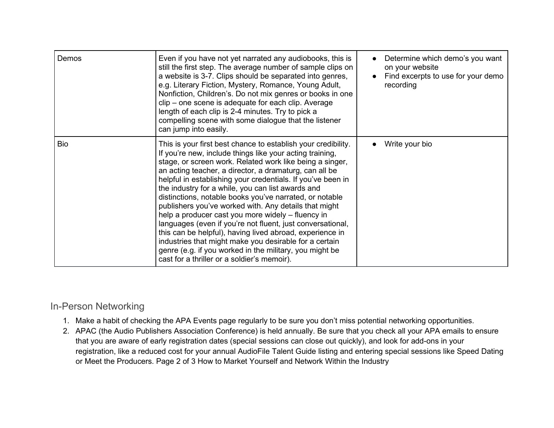| Demos | Even if you have not yet narrated any audiobooks, this is<br>still the first step. The average number of sample clips on<br>a website is 3-7. Clips should be separated into genres,<br>e.g. Literary Fiction, Mystery, Romance, Young Adult,<br>Nonfiction, Children's. Do not mix genres or books in one<br>clip – one scene is adequate for each clip. Average<br>length of each clip is 2-4 minutes. Try to pick a<br>compelling scene with some dialogue that the listener<br>can jump into easily.                                                                                                                                                                                                                                                                                                                                   | Determine which demo's you want<br>on your website<br>Find excerpts to use for your demo<br>recording |
|-------|--------------------------------------------------------------------------------------------------------------------------------------------------------------------------------------------------------------------------------------------------------------------------------------------------------------------------------------------------------------------------------------------------------------------------------------------------------------------------------------------------------------------------------------------------------------------------------------------------------------------------------------------------------------------------------------------------------------------------------------------------------------------------------------------------------------------------------------------|-------------------------------------------------------------------------------------------------------|
| Bio   | This is your first best chance to establish your credibility.<br>If you're new, include things like your acting training,<br>stage, or screen work. Related work like being a singer,<br>an acting teacher, a director, a dramaturg, can all be<br>helpful in establishing your credentials. If you've been in<br>the industry for a while, you can list awards and<br>distinctions, notable books you've narrated, or notable<br>publishers you've worked with. Any details that might<br>help a producer cast you more widely - fluency in<br>languages (even if you're not fluent, just conversational,<br>this can be helpful), having lived abroad, experience in<br>industries that might make you desirable for a certain<br>genre (e.g. if you worked in the military, you might be<br>cast for a thriller or a soldier's memoir). | Write your bio                                                                                        |

## In-Person Networking

- 1. Make a habit of checking the APA Events page regularly to be sure you don't miss potential networking opportunities.
- 2. APAC (the Audio Publishers Association Conference) is held annually. Be sure that you check all your APA emails to ensure that you are aware of early registration dates (special sessions can close out quickly), and look for add-ons in your registration, like a reduced cost for your annual AudioFile Talent Guide listing and entering special sessions like Speed Dating or Meet the Producers. Page 2 of 3 How to Market Yourself and Network Within the Industry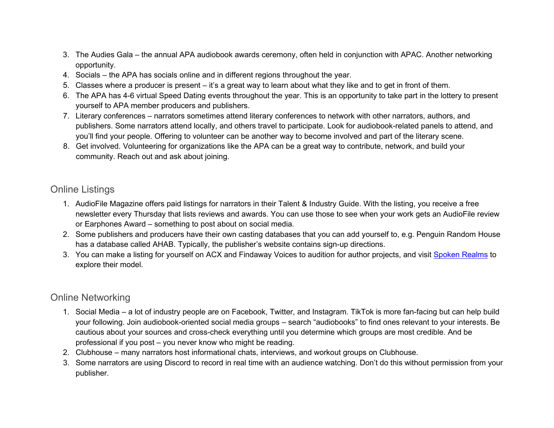- 3. The Audies Gala the annual APA audiobook awards ceremony, often held in conjunction with APAC. Another networking opportunity.
- 4. Socials the APA has socials online and in different regions throughout the year.
- 5. Classes where a producer is present it's a great way to learn about what they like and to get in front of them.
- 6. The APA has 4-6 virtual Speed Dating events throughout the year. This is an opportunity to take part in the lottery to present yourself to APA member producers and publishers.
- 7. Literary conferences narrators sometimes attend literary conferences to network with other narrators, authors, and publishers. Some narrators attend locally, and others travel to participate. Look for audiobook-related panels to attend, and you'll find your people. Offering to volunteer can be another way to become involved and part of the literary scene.
- 8. Get involved. Volunteering for organizations like the APA can be a great way to contribute, network, and build your community. Reach out and ask about joining.

### Online Listings

- 1. AudioFile Magazine offers paid listings for narrators in their Talent & Industry Guide. With the listing, you receive a free newsletter every Thursday that lists reviews and awards. You can use those to see when your work gets an AudioFile review or Earphones Award – something to post about on social media.
- 2. Some publishers and producers have their own casting databases that you can add yourself to, e.g. Penguin Random House has a database called AHAB. Typically, the publisher's website contains sign-up directions.
- 3. You can make a listing for yourself on ACX and Findaway Voices to audition for author projects, and visit [Spoken](https://www.spokenrealms.com/join-us/) Realms to explore their model.

### Online Networking

- 1. Social Media a lot of industry people are on Facebook, Twitter, and Instagram. TikTok is more fan-facing but can help build your following. Join audiobook-oriented social media groups – search "audiobooks" to find ones relevant to your interests. Be cautious about your sources and cross-check everything until you determine which groups are most credible. And be professional if you post – you never know who might be reading.
- 2. Clubhouse many narrators host informational chats, interviews, and workout groups on Clubhouse.
- 3. Some narrators are using Discord to record in real time with an audience watching. Don't do this without permission from your publisher.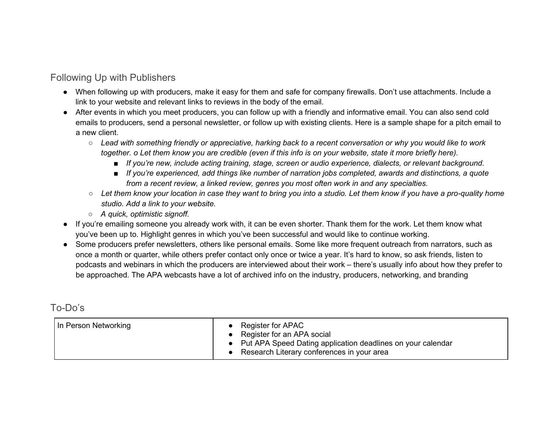### Following Up with Publishers

- When following up with producers, make it easy for them and safe for company firewalls. Don't use attachments. Include a link to your website and relevant links to reviews in the body of the email.
- After events in which you meet producers, you can follow up with a friendly and informative email. You can also send cold emails to producers, send a personal newsletter, or follow up with existing clients. Here is a sample shape for a pitch email to a new client.
	- Lead with something friendly or appreciative, harking back to a recent conversation or why you would like to work together. o Let them know you are credible (even if this info is on your website, state it more briefly here).
		- *If you're new, include acting training, stage, screen or audio experience, dialects, or relevant background.*
		- *If you're experienced, add things like number of narration jobs completed, awards and distinctions, a quote from a recent review, a linked review, genres you most often work in and any specialties.*
	- Let them know your location in case they want to bring you into a studio. Let them know if you have a pro-quality home *studio. Add a link to your website.*
	- *A quick, optimistic signoff.*
- If you're emailing someone you already work with, it can be even shorter. Thank them for the work. Let them know what you've been up to. Highlight genres in which you've been successful and would like to continue working.
- Some producers prefer newsletters, others like personal emails. Some like more frequent outreach from narrators, such as once a month or quarter, while others prefer contact only once or twice a year. It's hard to know, so ask friends, listen to podcasts and webinars in which the producers are interviewed about their work – there's usually info about how they prefer to be approached. The APA webcasts have a lot of archived info on the industry, producers, networking, and branding

### To-Do's

|  | In Person Networking | • Register for APAC<br>• Register for an APA social<br>• Put APA Speed Dating application deadlines on your calendar<br>• Research Literary conferences in your area |
|--|----------------------|----------------------------------------------------------------------------------------------------------------------------------------------------------------------|
|--|----------------------|----------------------------------------------------------------------------------------------------------------------------------------------------------------------|